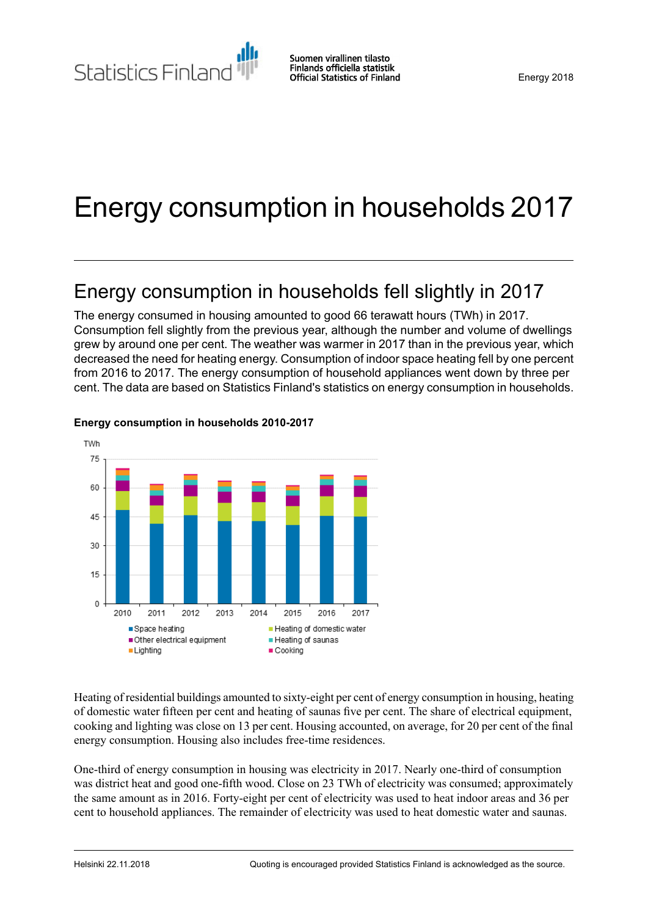Statistics Finland

# Energy consumption in households 2017

# Energy consumption in households fell slightly in 2017

The energy consumed in housing amounted to good 66 terawatt hours (TWh) in 2017. Consumption fell slightly from the previous year, although the number and volume of dwellings grew by around one per cent. The weather was warmer in 2017 than in the previous year, which decreased the need for heating energy. Consumption of indoor space heating fell by one percent from 2016 to 2017. The energy consumption of household appliances went down by three per cent. The data are based on Statistics Finland's statistics on energy consumption in households.



### **Energy consumption in households 2010-2017**

Heating of residential buildings amounted to sixty-eight per cent of energy consumption in housing, heating of domestic water fifteen per cent and heating of saunas five per cent. The share of electrical equipment, cooking and lighting was close on 13 per cent. Housing accounted, on average, for 20 per cent of the final energy consumption. Housing also includes free-time residences.

One-third of energy consumption in housing was electricity in 2017. Nearly one-third of consumption was district heat and good one-fifth wood. Close on 23 TWh of electricity was consumed; approximately the same amount as in 2016. Forty-eight per cent of electricity was used to heat indoor areas and 36 per cent to household appliances. The remainder of electricity was used to heat domestic water and saunas.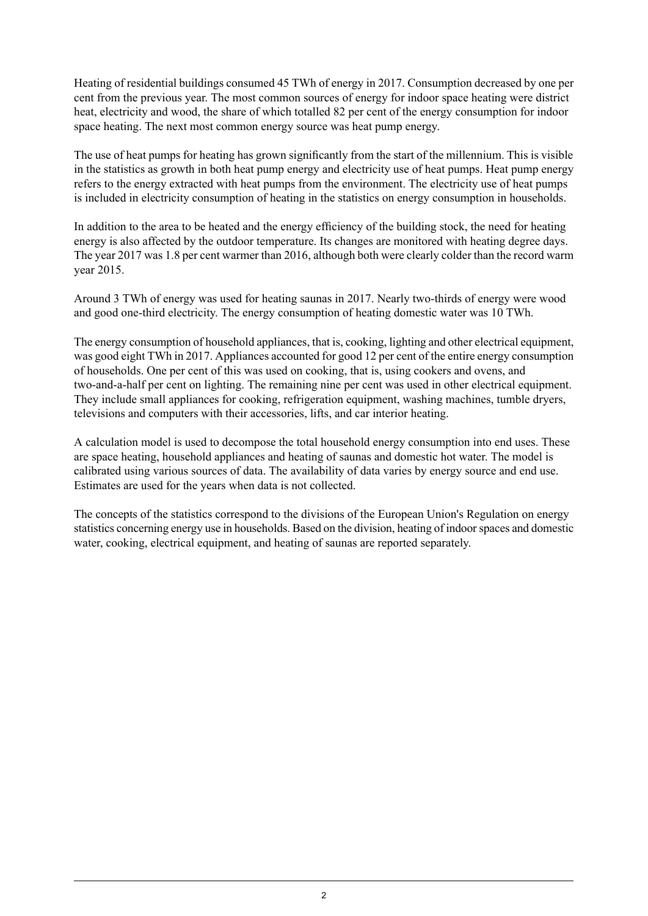Heating of residential buildings consumed 45 TWh of energy in 2017. Consumption decreased by one per cent from the previous year. The most common sources of energy for indoor space heating were district heat, electricity and wood, the share of which totalled 82 per cent of the energy consumption for indoor space heating. The next most common energy source was heat pump energy.

The use of heat pumps for heating has grown significantly from the start of the millennium. This is visible in the statistics as growth in both heat pump energy and electricity use of heat pumps. Heat pump energy refers to the energy extracted with heat pumps from the environment. The electricity use of heat pumps is included in electricity consumption of heating in the statistics on energy consumption in households.

In addition to the area to be heated and the energy efficiency of the building stock, the need for heating energy is also affected by the outdoor temperature. Its changes are monitored with heating degree days. The year 2017 was 1.8 per cent warmer than 2016, although both were clearly colder than the record warm year 2015.

Around 3 TWh of energy was used for heating saunas in 2017. Nearly two-thirds of energy were wood and good one-third electricity. The energy consumption of heating domestic water was 10 TWh.

The energy consumption of household appliances, that is, cooking, lighting and other electrical equipment, was good eight TWh in 2017. Appliances accounted for good 12 per cent of the entire energy consumption of households. One per cent of this was used on cooking, that is, using cookers and ovens, and two-and-a-half per cent on lighting. The remaining nine per cent was used in other electrical equipment. They include small appliances for cooking, refrigeration equipment, washing machines, tumble dryers, televisions and computers with their accessories, lifts, and car interior heating.

A calculation model is used to decompose the total household energy consumption into end uses. These are space heating, household appliances and heating of saunas and domestic hot water. The model is calibrated using various sources of data. The availability of data varies by energy source and end use. Estimates are used for the years when data is not collected.

The concepts of the statistics correspond to the divisions of the European Union's Regulation on energy statistics concerning energy use in households. Based on the division, heating of indoorspaces and domestic water, cooking, electrical equipment, and heating of saunas are reported separately.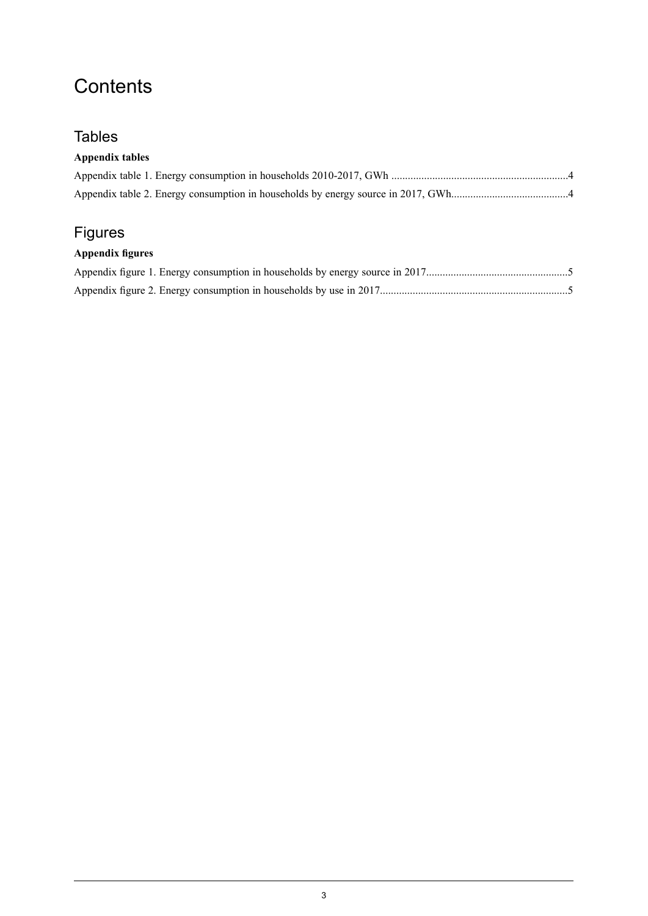# **Contents**

### **Tables**

### **Appendix tables**

### Figures

### **Appendix figures**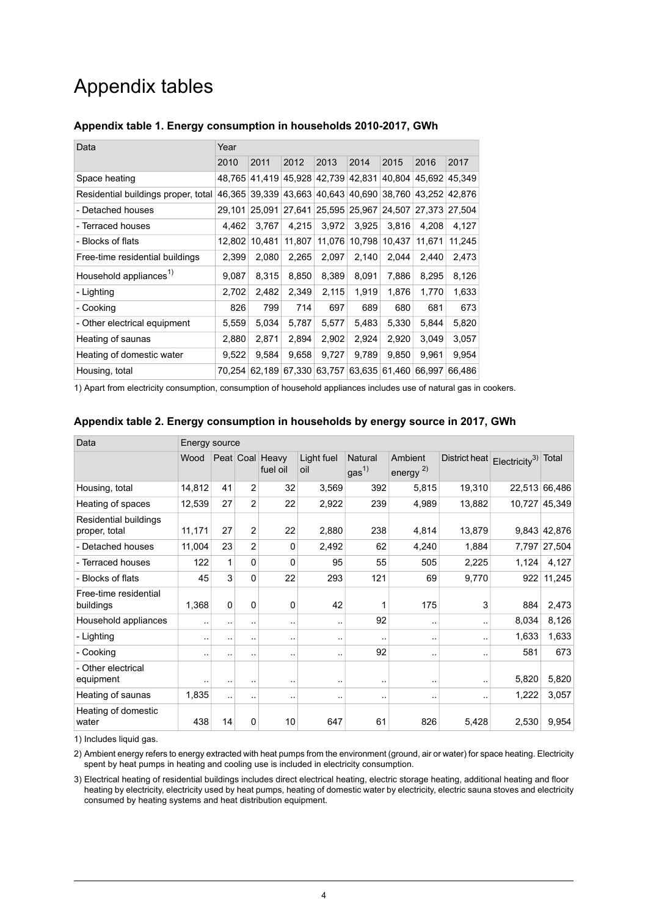# Appendix tables

| Data                                | Year   |        |        |               |                      |        |               |        |
|-------------------------------------|--------|--------|--------|---------------|----------------------|--------|---------------|--------|
|                                     | 2010   | 2011   | 2012   | 2013          | 2014                 | 2015   | 2016          | 2017   |
| Space heating                       | 48,765 | 41,419 | 45.928 | 42,739        | 42,831               | 40.804 | 45.692        | 45.349 |
| Residential buildings proper, total | 46.365 | 39.339 |        |               | 43,663 40,643 40,690 | 38,760 | 43.252        | 42.876 |
| - Detached houses                   | 29,101 | 25.091 |        |               | 27,641 25,595 25,967 | 24,507 | 27.373 27.504 |        |
| - Terraced houses                   | 4.462  | 3.767  | 4.215  | 3,972         | 3,925                | 3.816  | 4.208         | 4,127  |
| - Blocks of flats                   | 12,802 | 10.481 | 11,807 |               | 11,076 10,798        | 10,437 | 11,671        | 11,245 |
| Free-time residential buildings     | 2,399  | 2,080  | 2,265  | 2,097         | 2,140                | 2,044  | 2,440         | 2,473  |
| Household appliances <sup>1)</sup>  | 9,087  | 8.315  | 8,850  | 8,389         | 8,091                | 7,886  | 8,295         | 8,126  |
| - Lighting                          | 2,702  | 2,482  | 2,349  | 2,115         | 1,919                | 1,876  | 1,770         | 1,633  |
| - Cooking                           | 826    | 799    | 714    | 697           | 689                  | 680    | 681           | 673    |
| - Other electrical equipment        | 5,559  | 5,034  | 5,787  | 5,577         | 5,483                | 5,330  | 5,844         | 5,820  |
| Heating of saunas                   | 2,880  | 2,871  | 2,894  | 2,902         | 2,924                | 2,920  | 3,049         | 3,057  |
| Heating of domestic water           | 9,522  | 9,584  | 9,658  | 9,727         | 9,789                | 9,850  | 9,961         | 9,954  |
| Housing, total                      | 70.254 | 62.189 |        | 67,330 63,757 | 63,635               | 61,460 | 66.997        | 66.486 |

#### <span id="page-3-0"></span>**Appendix table 1. Energy consumption in households 2010-2017, GWh**

<span id="page-3-1"></span>1) Apart from electricity consumption, consumption of household appliances includes use of natural gas in cookers.

| Data                                   | Energy source |              |                |                             |                   |                             |                           |                      |                     |               |
|----------------------------------------|---------------|--------------|----------------|-----------------------------|-------------------|-----------------------------|---------------------------|----------------------|---------------------|---------------|
|                                        | Wood          |              |                | Peat Coal Heavy<br>fuel oil | Light fuel<br>oil | Natural<br>gas <sup>1</sup> | Ambient<br>energy $^{2)}$ | District heat        | $Electicity3$ Total |               |
| Housing, total                         | 14,812        | 41           | $\overline{2}$ | 32                          | 3,569             | 392                         | 5,815                     | 19,310               |                     | 22,513 66,486 |
| Heating of spaces                      | 12,539        | 27           | $\overline{2}$ | 22                          | 2,922             | 239                         | 4,989                     | 13,882               | 10,727              | 45,349        |
| Residential buildings<br>proper, total | 11,171        | 27           | $\overline{2}$ | 22                          | 2,880             | 238                         | 4,814                     | 13,879               |                     | 9,843 42,876  |
| - Detached houses                      | 11,004        | 23           | $\overline{2}$ | 0                           | 2,492             | 62                          | 4,240                     | 1,884                |                     | 7,797 27,504  |
| - Terraced houses                      | 122           | $\mathbf{1}$ | $\mathbf 0$    | 0                           | 95                | 55                          | 505                       | 2,225                | 1,124               | 4,127         |
| - Blocks of flats                      | 45            | 3            | $\Omega$       | 22                          | 293               | 121                         | 69                        | 9,770                | 922                 | 11,245        |
| Free-time residential<br>buildings     | 1,368         | $\mathbf{0}$ | $\Omega$       | 0                           | 42                | 1                           | 175                       | 3                    | 884                 | 2,473         |
| Household appliances                   |               | ٠.           |                | $\sim$                      |                   | 92                          | ٠.                        |                      | 8,034               | 8,126         |
| - Lighting                             | . .           | ٠.           |                | $\ddotsc$                   |                   | ٠.                          |                           |                      | 1,633               | 1,633         |
| - Cooking                              |               |              |                | $\sim$                      | ۰.                | 92                          | ٠.                        | $\ddot{\phantom{a}}$ | 581                 | 673           |
| - Other electrical<br>equipment        |               |              |                | $\sim$                      |                   | ٠.                          | ٠.                        | $\ddot{\phantom{a}}$ | 5,820               | 5,820         |
| Heating of saunas                      | 1,835         | ٠.           |                |                             |                   | ٠.                          | ٠.                        | $\ddot{\phantom{a}}$ | 1,222               | 3,057         |
| Heating of domestic<br>water           | 438           | 14           | 0              | 10                          | 647               | 61                          | 826                       | 5,428                | 2,530               | 9,954         |

#### **Appendix table 2. Energy consumption in households by energy source in 2017, GWh**

1) Includes liquid gas.

2) Ambient energy refers to energy extracted with heat pumps from the environment (ground, air or water) for space heating. Electricity spent by heat pumps in heating and cooling use is included in electricity consumption.

Electrical heating of residential buildings includes direct electrical heating, electric storage heating, additional heating and floor 3) heating by electricity, electricity used by heat pumps, heating of domestic water by electricity, electric sauna stoves and electricity consumed by heating systems and heat distribution equipment.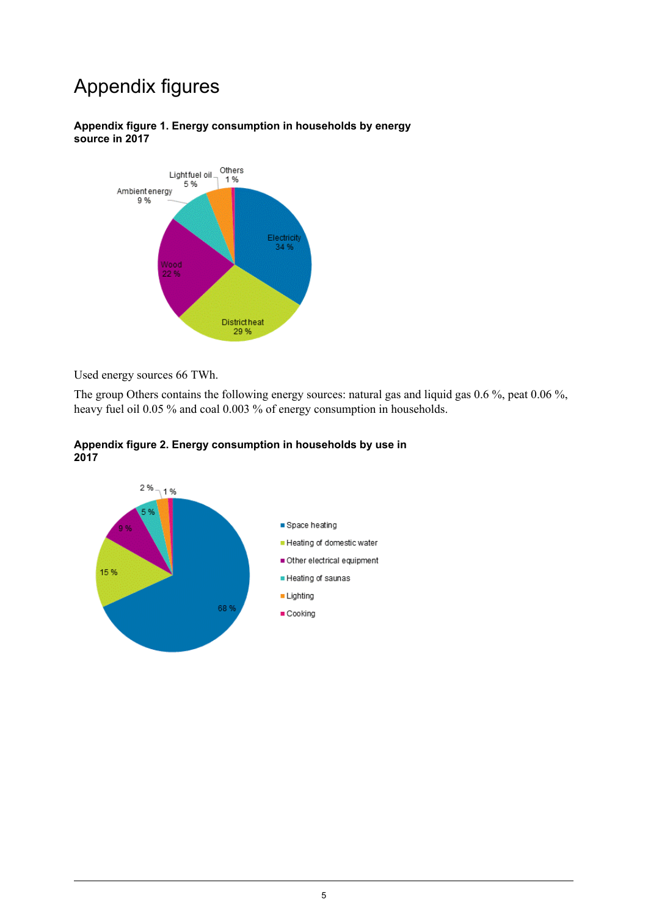# Appendix figures

#### <span id="page-4-0"></span>**Appendix figure 1. Energy consumption in households by energy source in 2017**



Used energy sources 66 TWh.

<span id="page-4-1"></span>The group Others contains the following energy sources: natural gas and liquid gas 0.6 %, peat 0.06 %, heavy fuel oil 0.05 % and coal 0.003 % of energy consumption in households.



#### **Appendix figure 2. Energy consumption in households by use in 2017**